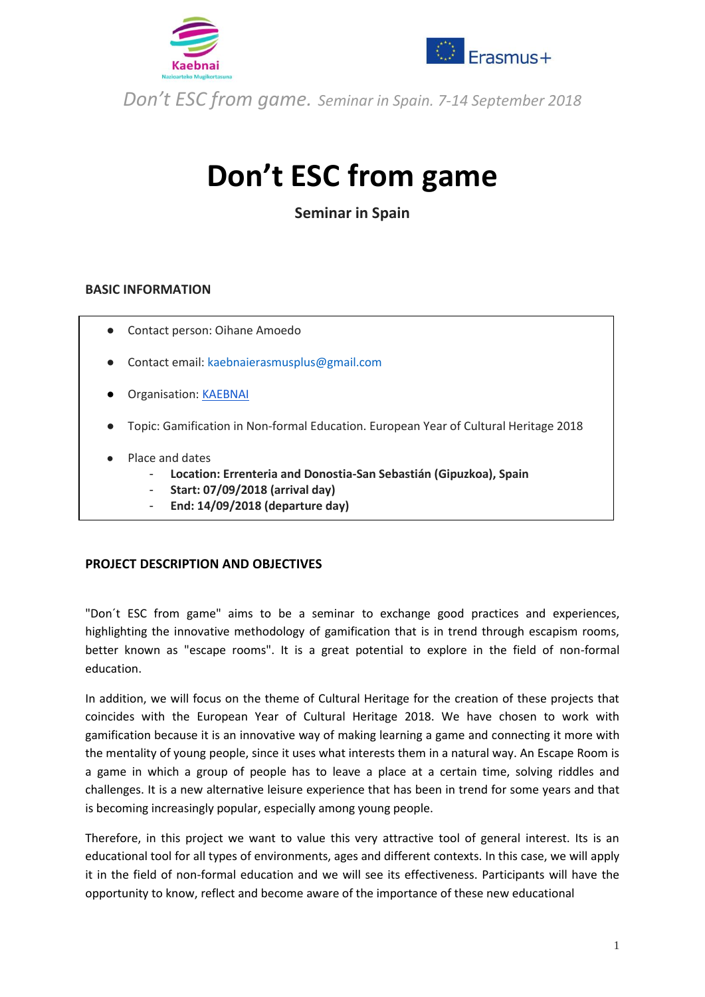



# **Don't ESC from game**

**Seminar in Spain**

#### **BASIC INFORMATION**

- Contact person: Oihane Amoedo
- Contact email: kaebnaierasmusplus@gmail.com
- **Organisation: [KAEBNAI](https://www.kaebnai.net/)**
- Topic: Gamification in Non-formal Education. European Year of Cultural Heritage 2018
- Place and dates
	- **Location: Errenteria and Donostia-San Sebastián (Gipuzkoa), Spain**
	- **Start: 07/09/2018 (arrival day)**
	- **End: 14/09/2018 (departure day)**

#### **PROJECT DESCRIPTION AND OBJECTIVES**

"Don´t ESC from game" aims to be a seminar to exchange good practices and experiences, highlighting the innovative methodology of gamification that is in trend through escapism rooms, better known as "escape rooms". It is a great potential to explore in the field of non-formal education.

In addition, we will focus on the theme of Cultural Heritage for the creation of these projects that coincides with the European Year of Cultural Heritage 2018. We have chosen to work with gamification because it is an innovative way of making learning a game and connecting it more with the mentality of young people, since it uses what interests them in a natural way. An Escape Room is a game in which a group of people has to leave a place at a certain time, solving riddles and challenges. It is a new alternative leisure experience that has been in trend for some years and that is becoming increasingly popular, especially among young people.

Therefore, in this project we want to value this very attractive tool of general interest. Its is an educational tool for all types of environments, ages and different contexts. In this case, we will apply it in the field of non-formal education and we will see its effectiveness. Participants will have the opportunity to know, reflect and become aware of the importance of these new educational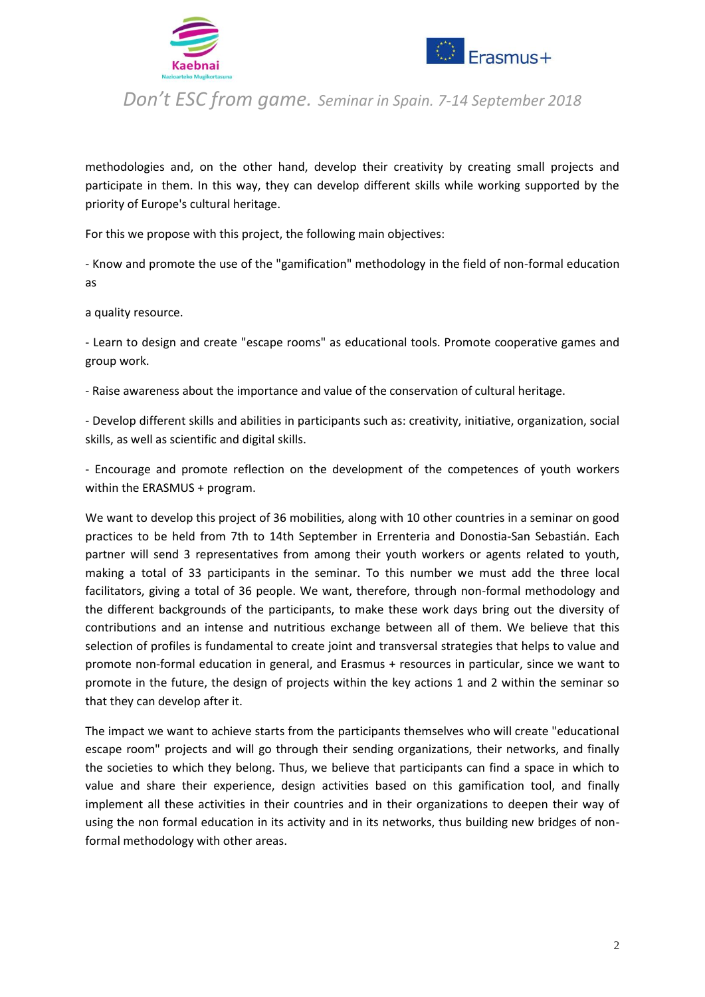



methodologies and, on the other hand, develop their creativity by creating small projects and participate in them. In this way, they can develop different skills while working supported by the priority of Europe's cultural heritage.

For this we propose with this project, the following main objectives:

- Know and promote the use of the "gamification" methodology in the field of non-formal education as

a quality resource.

- Learn to design and create "escape rooms" as educational tools. Promote cooperative games and group work.

- Raise awareness about the importance and value of the conservation of cultural heritage.

- Develop different skills and abilities in participants such as: creativity, initiative, organization, social skills, as well as scientific and digital skills.

- Encourage and promote reflection on the development of the competences of youth workers within the ERASMUS + program.

We want to develop this project of 36 mobilities, along with 10 other countries in a seminar on good practices to be held from 7th to 14th September in Errenteria and Donostia-San Sebastián. Each partner will send 3 representatives from among their youth workers or agents related to youth, making a total of 33 participants in the seminar. To this number we must add the three local facilitators, giving a total of 36 people. We want, therefore, through non-formal methodology and the different backgrounds of the participants, to make these work days bring out the diversity of contributions and an intense and nutritious exchange between all of them. We believe that this selection of profiles is fundamental to create joint and transversal strategies that helps to value and promote non-formal education in general, and Erasmus + resources in particular, since we want to promote in the future, the design of projects within the key actions 1 and 2 within the seminar so that they can develop after it.

The impact we want to achieve starts from the participants themselves who will create "educational escape room" projects and will go through their sending organizations, their networks, and finally the societies to which they belong. Thus, we believe that participants can find a space in which to value and share their experience, design activities based on this gamification tool, and finally implement all these activities in their countries and in their organizations to deepen their way of using the non formal education in its activity and in its networks, thus building new bridges of nonformal methodology with other areas.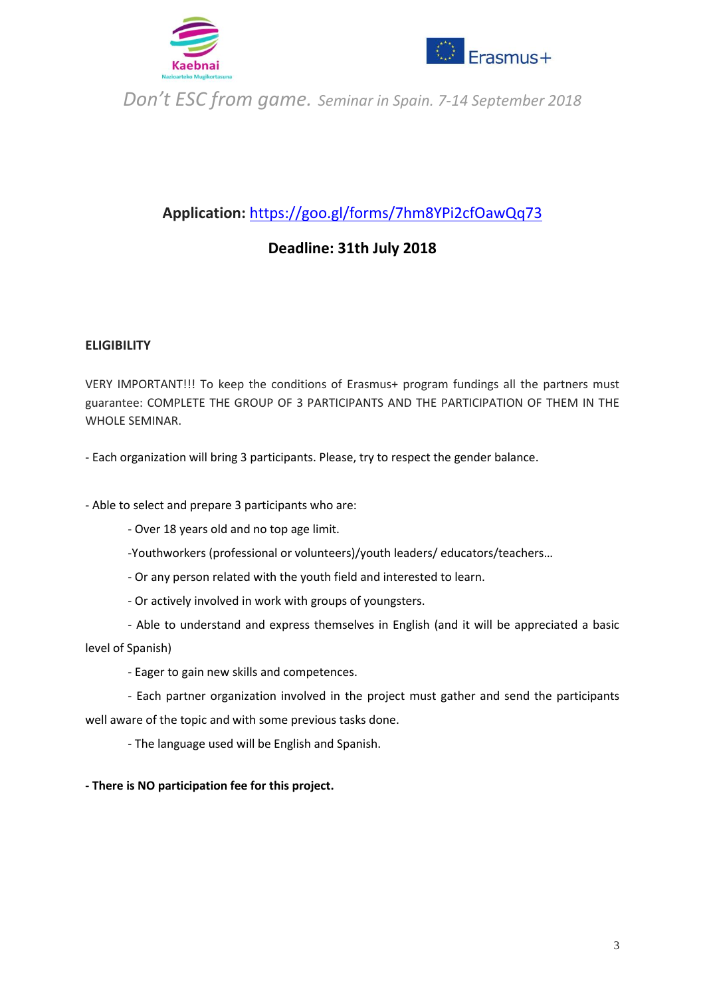



## **Application:** <https://goo.gl/forms/7hm8YPi2cfOawQq73>

### **Deadline: 31th July 2018**

#### **ELIGIBILITY**

VERY IMPORTANT!!! To keep the conditions of Erasmus+ program fundings all the partners must guarantee: COMPLETE THE GROUP OF 3 PARTICIPANTS AND THE PARTICIPATION OF THEM IN THE WHOLE SEMINAR.

- Each organization will bring 3 participants. Please, try to respect the gender balance.

- Able to select and prepare 3 participants who are:

- Over 18 years old and no top age limit.
- -Youthworkers (professional or volunteers)/youth leaders/ educators/teachers…
- Or any person related with the youth field and interested to learn.
- Or actively involved in work with groups of youngsters.
- Able to understand and express themselves in English (and it will be appreciated a basic

level of Spanish)

- Eager to gain new skills and competences.

- Each partner organization involved in the project must gather and send the participants well aware of the topic and with some previous tasks done.

- The language used will be English and Spanish.

**- There is NO participation fee for this project.**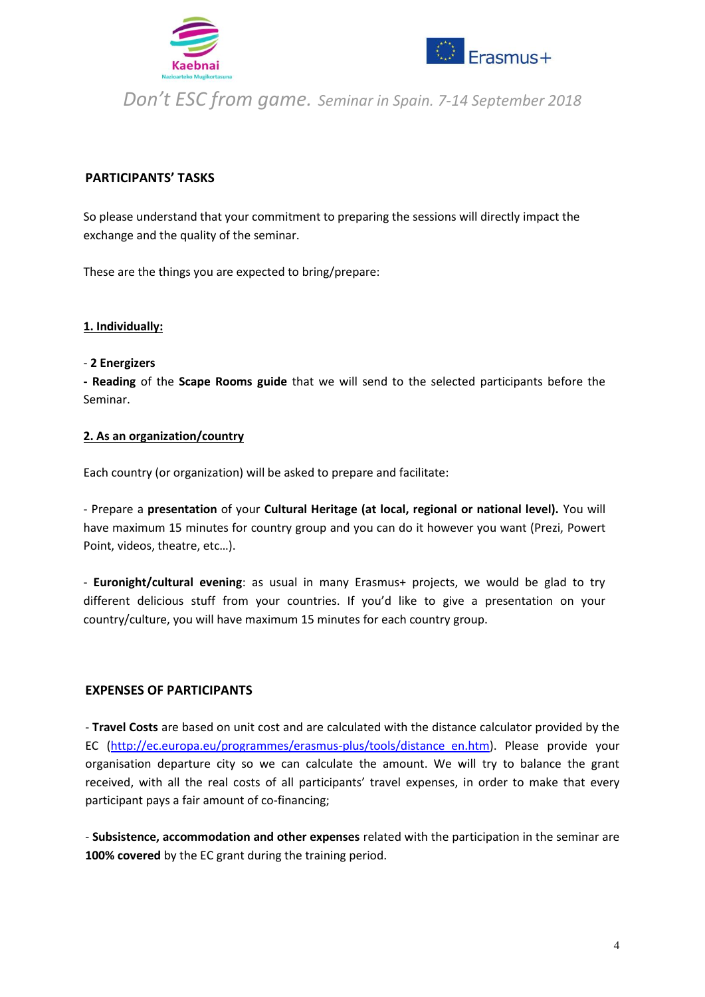



#### **PARTICIPANTS' TASKS**

So please understand that your commitment to preparing the sessions will directly impact the exchange and the quality of the seminar.

These are the things you are expected to bring/prepare:

#### **1. Individually:**

#### - **2 Energizers**

**- Reading** of the **Scape Rooms guide** that we will send to the selected participants before the Seminar.

#### **2. As an organization/country**

Each country (or organization) will be asked to prepare and facilitate:

- Prepare a **presentation** of your **Cultural Heritage (at local, regional or national level).** You will have maximum 15 minutes for country group and you can do it however you want (Prezi, Powert Point, videos, theatre, etc…).

- **Euronight/cultural evening**: as usual in many Erasmus+ projects, we would be glad to try different delicious stuff from your countries. If you'd like to give a presentation on your country/culture, you will have maximum 15 minutes for each country group.

#### **EXPENSES OF PARTICIPANTS**

- **Travel Costs** are based on unit cost and are calculated with the distance calculator provided by the EC [\(http://ec.europa.eu/programmes/erasmus-plus/tools/distance\\_en.htm\)](http://ec.europa.eu/programmes/erasmus-plus/tools/distance_en.htm). Please provide your organisation departure city so we can calculate the amount. We will try to balance the grant received, with all the real costs of all participants' travel expenses, in order to make that every participant pays a fair amount of co-financing;

- **Subsistence, accommodation and other expenses** related with the participation in the seminar are **100% covered** by the EC grant during the training period.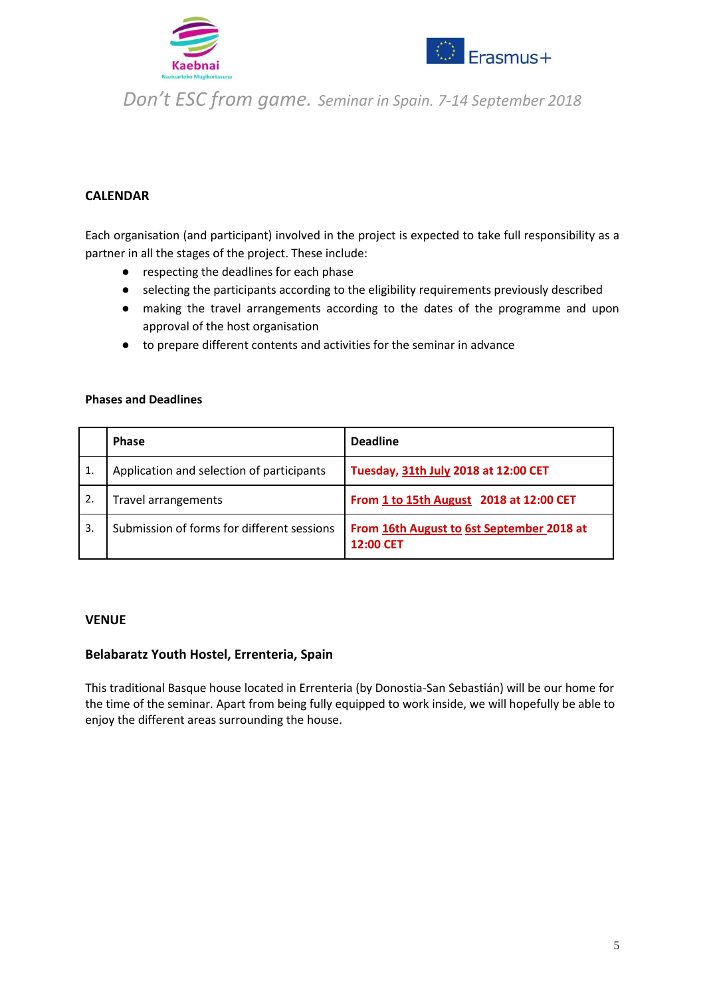



#### **CALENDAR**

Each organisation (and participant) involved in the project is expected to take full responsibility as a partner in all the stages of the project. These include:

- respecting the deadlines for each phase
- selecting the participants according to the eligibility requirements previously described
- making the travel arrangements according to the dates of the programme and upon approval of the host organisation
- to prepare different contents and activities for the seminar in advance

#### **Phases and Deadlines**

|    | <b>Phase</b>                               | <b>Deadline</b>                                        |
|----|--------------------------------------------|--------------------------------------------------------|
| 1. | Application and selection of participants  | Tuesday, 31th July 2018 at 12:00 CET                   |
| 2. | Travel arrangements                        | From 1 to 15th August 2018 at 12:00 CET                |
| 3. | Submission of forms for different sessions | From 16th August to 6st September 2018 at<br>12:00 CET |

#### **VENUE**

#### **Belabaratz Youth Hostel, Errenteria, Spain**

This traditional Basque house located in Errenteria (by Donostia-San Sebastián) will be our home for the time of the seminar. Apart from being fully equipped to work inside, we will hopefully be able to enjoy the different areas surrounding the house.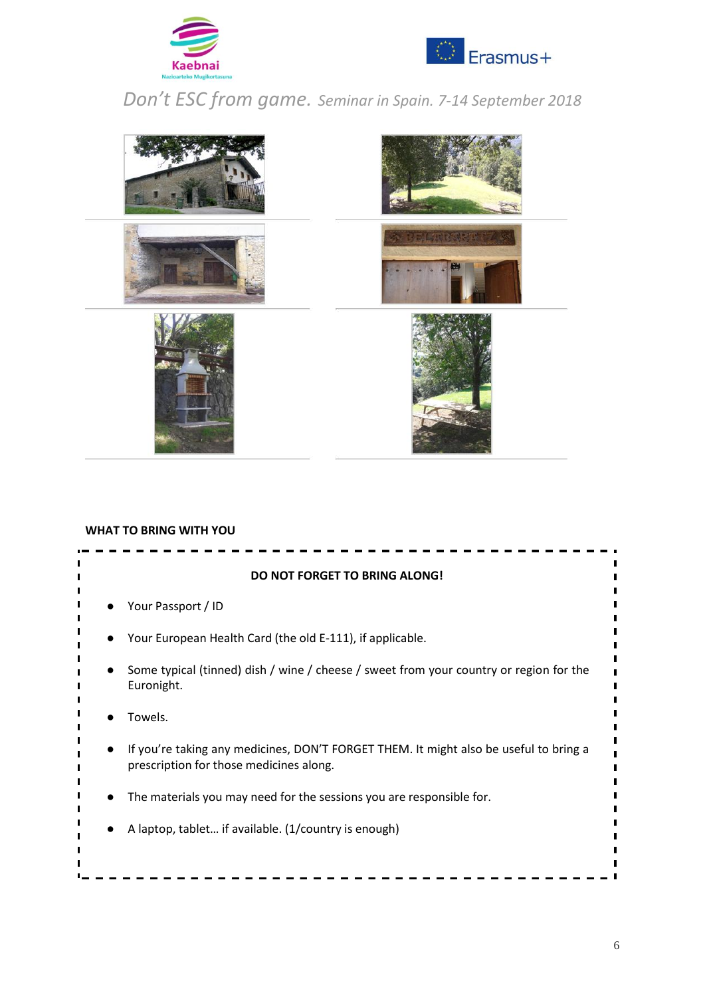





#### **WHAT TO BRING WITH YOU**

| <b>DO NOT FORGET TO BRING ALONG!</b>                                                                                             |  |  |  |  |  |
|----------------------------------------------------------------------------------------------------------------------------------|--|--|--|--|--|
| Your Passport / ID                                                                                                               |  |  |  |  |  |
| Your European Health Card (the old E-111), if applicable.                                                                        |  |  |  |  |  |
| Some typical (tinned) dish / wine / cheese / sweet from your country or region for the<br>Euronight.                             |  |  |  |  |  |
| Towels.                                                                                                                          |  |  |  |  |  |
| If you're taking any medicines, DON'T FORGET THEM. It might also be useful to bring a<br>prescription for those medicines along. |  |  |  |  |  |
| The materials you may need for the sessions you are responsible for.                                                             |  |  |  |  |  |
| A laptop, tablet if available. (1/country is enough)                                                                             |  |  |  |  |  |
|                                                                                                                                  |  |  |  |  |  |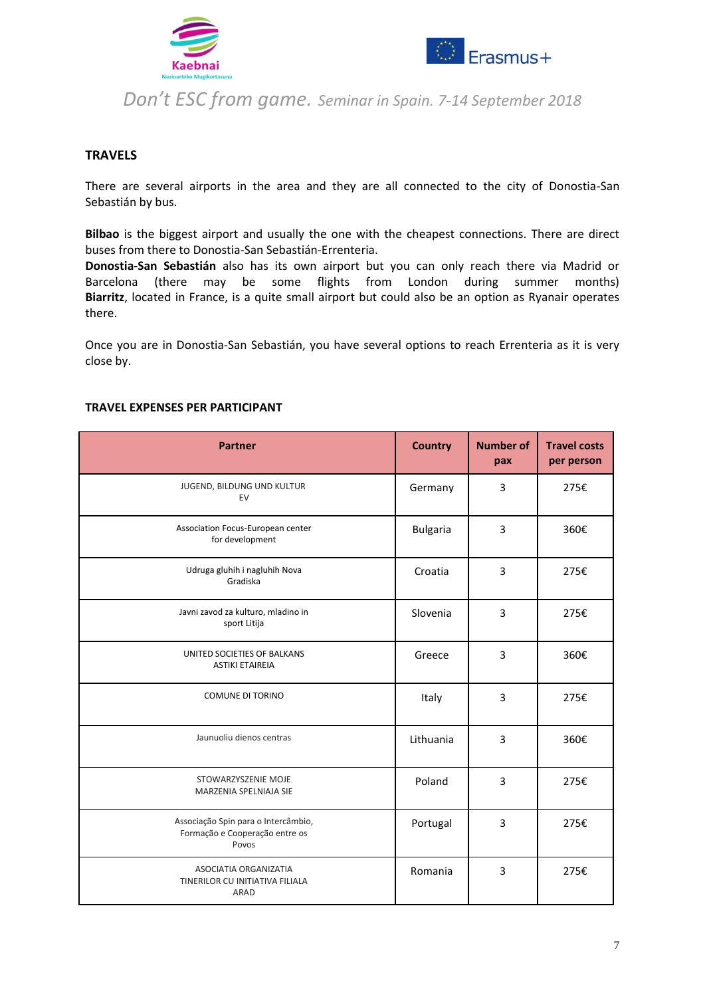



#### **TRAVELS**

There are several airports in the area and they are all connected to the city of Donostia-San Sebastián by bus.

**Bilbao** is the biggest airport and usually the one with the cheapest connections. There are direct buses from there to Donostia-San Sebastián-Errenteria.

**Donostia-San Sebastián** also has its own airport but you can only reach there via Madrid or Barcelona (there may be some flights from London during summer months) **Biarritz**, located in France, is a quite small airport but could also be an option as Ryanair operates there.

Once you are in Donostia-San Sebastián, you have several options to reach Errenteria as it is very close by.

| <b>Partner</b>                                                                 | <b>Country</b>  | <b>Number of</b><br>pax | <b>Travel costs</b><br>per person |
|--------------------------------------------------------------------------------|-----------------|-------------------------|-----------------------------------|
| JUGEND, BILDUNG UND KULTUR<br>EV                                               | Germany         | 3                       | 275€                              |
| Association Focus-European center<br>for development                           | <b>Bulgaria</b> | 3                       | 360€                              |
| Udruga gluhih i nagluhih Nova<br>Gradiska                                      | Croatia         | 3                       | 275€                              |
| Javni zavod za kulturo, mladino in<br>sport Litija                             | Slovenia        | 3                       | 275€                              |
| UNITED SOCIETIES OF BALKANS<br><b>ASTIKI ETAIREIA</b>                          | Greece          | 3                       | 360€                              |
| <b>COMUNE DI TORINO</b>                                                        | Italy           | 3                       | 275€                              |
| Jaunuoliu dienos centras                                                       | Lithuania       | 3                       | 360€                              |
| STOWARZYSZENIE MOJE<br>MARZENIA SPELNIAJA SIE                                  | Poland          | 3                       | 275€                              |
| Associação Spin para o Intercâmbio,<br>Formação e Cooperação entre os<br>Povos | Portugal        | 3                       | 275€                              |
| ASOCIATIA ORGANIZATIA<br>TINERILOR CU INITIATIVA FILIALA<br>ARAD               | Romania         | 3                       | 275€                              |

#### **TRAVEL EXPENSES PER PARTICIPANT**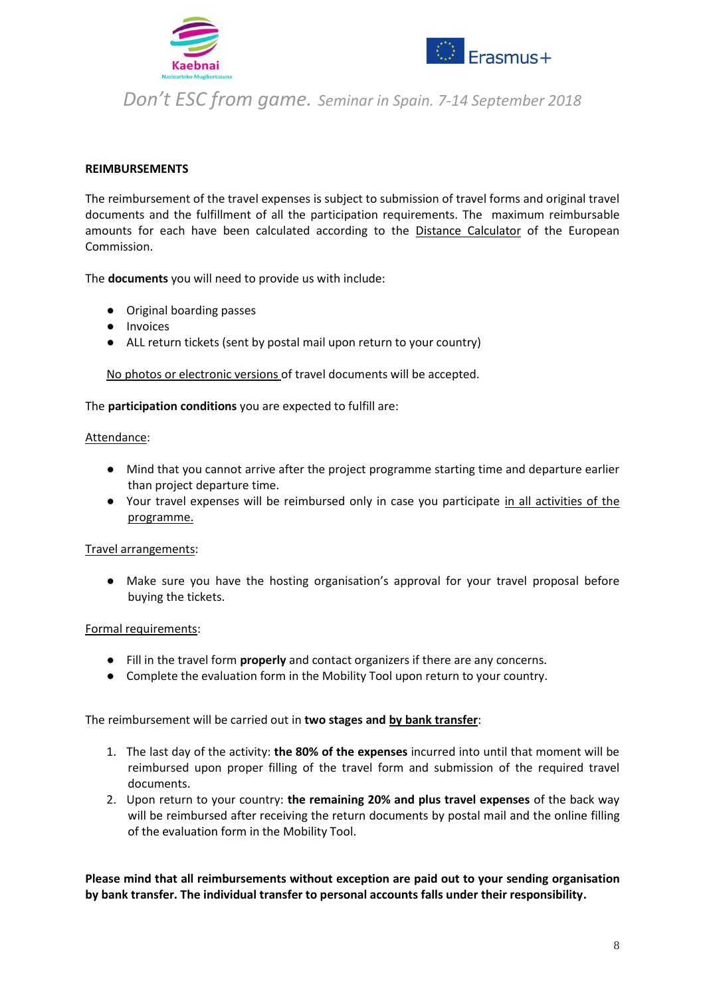



#### **REIMBURSEMENTS**

The reimbursement of the travel expenses is subject to submission of travel forms and original travel documents and the fulfillment of all the participation requirements. The maximum reimbursable amounts for each have been calculated according to the [Distance Calculator](http://ec.europa.eu/programmes/erasmus-plus/tools/distance_en.htm) of the European Commission.

The **documents** you will need to provide us with include:

- Original boarding passes
- Invoices
- ALL return tickets (sent by postal mail upon return to your country)

No photos or electronic versions of travel documents will be accepted.

#### The **participation conditions** you are expected to fulfill are:

#### Attendance:

- Mind that you cannot arrive after the project programme starting time and departure earlier than project departure time.
- Your travel expenses will be reimbursed only in case you participate in all activities of the programme.

#### Travel arrangements:

● Make sure you have the hosting organisation's approval for your travel proposal before buying the tickets.

#### Formal requirements:

- Fill in the travel form **properly** and contact organizers if there are any concerns.
- Complete the evaluation form in the Mobility Tool upon return to your country.

The reimbursement will be carried out in **two stages and by bank transfer**:

- 1. The last day of the activity: **the 80% of the expenses** incurred into until that moment will be reimbursed upon proper filling of the travel form and submission of the required travel documents.
- 2. Upon return to your country: **the remaining 20% and plus travel expenses** of the back way will be reimbursed after receiving the return documents by postal mail and the online filling of the evaluation form in the Mobility Tool.

**Please mind that all reimbursements without exception are paid out to your sending organisation by bank transfer. The individual transfer to personal accounts falls under their responsibility.**